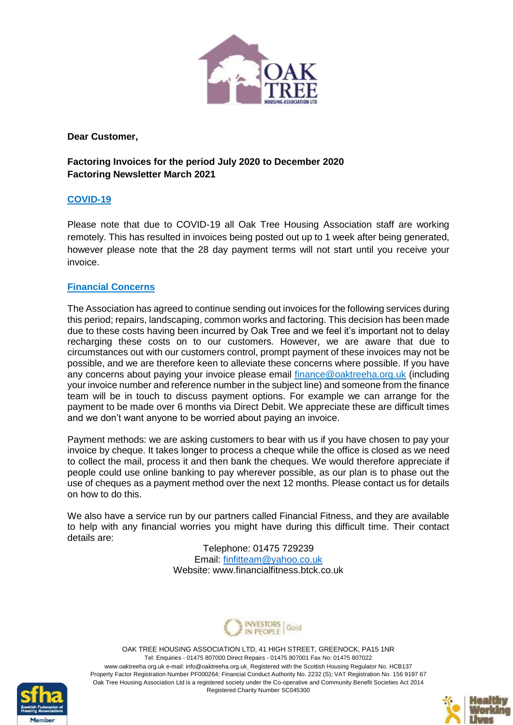

**Dear Customer,**

# **Factoring Invoices for the period July 2020 to December 2020 Factoring Newsletter March 2021**

## **COVID-19**

Please note that due to COVID-19 all Oak Tree Housing Association staff are working remotely. This has resulted in invoices being posted out up to 1 week after being generated, however please note that the 28 day payment terms will not start until you receive your invoice.

#### **Financial Concerns**

The Association has agreed to continue sending out invoices for the following services during this period; repairs, landscaping, common works and factoring. This decision has been made due to these costs having been incurred by Oak Tree and we feel it's important not to delay recharging these costs on to our customers. However, we are aware that due to circumstances out with our customers control, prompt payment of these invoices may not be possible, and we are therefore keen to alleviate these concerns where possible. If you have any concerns about paying your invoice please email [finance@oaktreeha.org.uk](mailto:finance@oaktreeha.org.uk) (including your invoice number and reference number in the subject line) and someone from the finance team will be in touch to discuss payment options. For example we can arrange for the payment to be made over 6 months via Direct Debit. We appreciate these are difficult times and we don't want anyone to be worried about paying an invoice.

Payment methods: we are asking customers to bear with us if you have chosen to pay your invoice by cheque. It takes longer to process a cheque while the office is closed as we need to collect the mail, process it and then bank the cheques. We would therefore appreciate if people could use online banking to pay wherever possible, as our plan is to phase out the use of cheques as a payment method over the next 12 months. Please contact us for details on how to do this.

We also have a service run by our partners called Financial Fitness, and they are available to help with any financial worries you might have during this difficult time. Their contact details are:

> Telephone: 01475 729239 Email: [finfitteam@yahoo.co.uk](mailto:finfitteam@yahoo.co.uk) Website: www.financialfitness.btck.co.uk





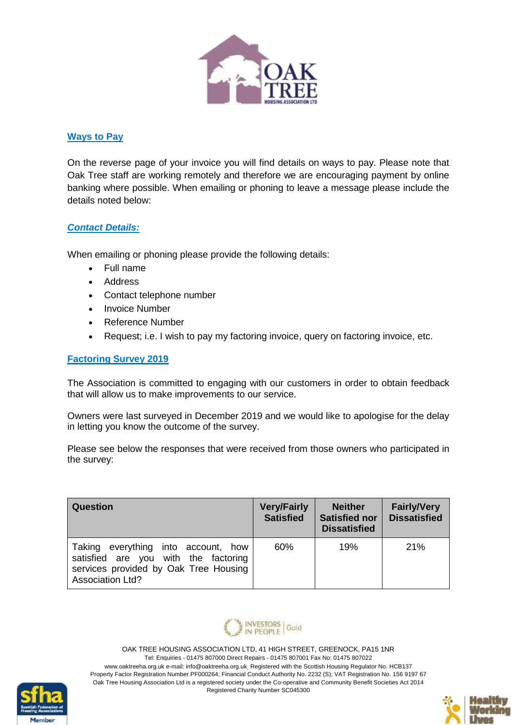

### **Ways to Pay**

On the reverse page of your invoice you will find details on ways to pay. Please note that Oak Tree staff are working remotely and therefore we are encouraging payment by online banking where possible. When emailing or phoning to leave a message please include the details noted below:

#### *Contact Details:*

When emailing or phoning please provide the following details:

- Full name
- Address
- Contact telephone number
- Invoice Number
- Reference Number
- Request; i.e. I wish to pay my factoring invoice, query on factoring invoice, etc.

### **Factoring Survey 2019**

The Association is committed to engaging with our customers in order to obtain feedback that will allow us to make improvements to our service.

Owners were last surveyed in December 2019 and we would like to apologise for the delay in letting you know the outcome of the survey.

Please see below the responses that were received from those owners who participated in the survey:

| Question                                                                                                                                           | <b>Very/Fairly</b><br><b>Satisfied</b> | <b>Neither</b><br><b>Satisfied nor</b><br><b>Dissatisfied</b> | <b>Fairly/Very</b><br><b>Dissatisfied</b> |
|----------------------------------------------------------------------------------------------------------------------------------------------------|----------------------------------------|---------------------------------------------------------------|-------------------------------------------|
| everything into account, how<br>Taking<br>satisfied are you with the factoring<br>services provided by Oak Tree Housing<br><b>Association Ltd?</b> | 60%                                    | 19%                                                           | 21%                                       |





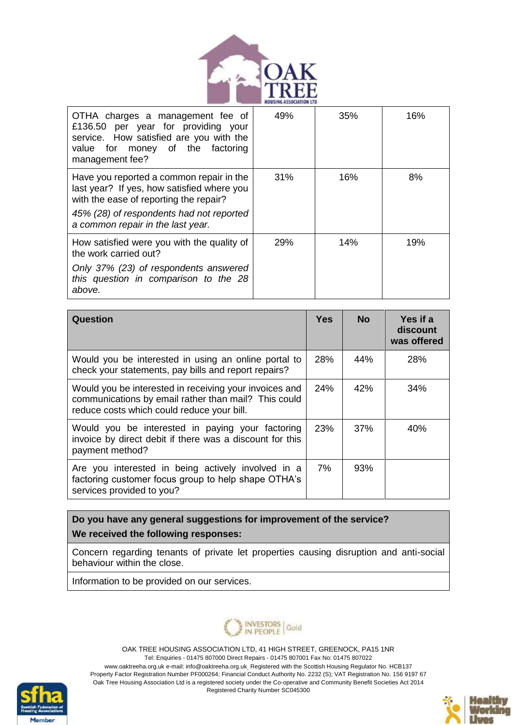

| OTHA charges a management fee of<br>£136.50 per year for providing your<br>service. How satisfied are you with the<br>value for money of the factoring<br>management fee?                                         | 49%        | 35% | 16% |
|-------------------------------------------------------------------------------------------------------------------------------------------------------------------------------------------------------------------|------------|-----|-----|
| Have you reported a common repair in the<br>last year? If yes, how satisfied where you<br>with the ease of reporting the repair?<br>45% (28) of respondents had not reported<br>a common repair in the last year. | 31%        | 16% | 8%  |
| How satisfied were you with the quality of<br>the work carried out?<br>Only 37% (23) of respondents answered<br>this question in comparison to the 28<br>above.                                                   | <b>29%</b> | 14% | 19% |

| <b>Question</b>                                                                                                                                              | Yes | <b>No</b> | Yes if a<br>discount<br>was offered |
|--------------------------------------------------------------------------------------------------------------------------------------------------------------|-----|-----------|-------------------------------------|
| Would you be interested in using an online portal to<br>check your statements, pay bills and report repairs?                                                 | 28% | 44%       | 28%                                 |
| Would you be interested in receiving your invoices and<br>communications by email rather than mail? This could<br>reduce costs which could reduce your bill. | 24% | 42%       | 34%                                 |
| Would you be interested in paying your factoring<br>invoice by direct debit if there was a discount for this<br>payment method?                              | 23% | 37%       | 40%                                 |
| Are you interested in being actively involved in a<br>factoring customer focus group to help shape OTHA's<br>services provided to you?                       | 7%  | 93%       |                                     |

**Do you have any general suggestions for improvement of the service? We received the following responses:**

Concern regarding tenants of private let properties causing disruption and anti-social behaviour within the close.

Information to be provided on our services.





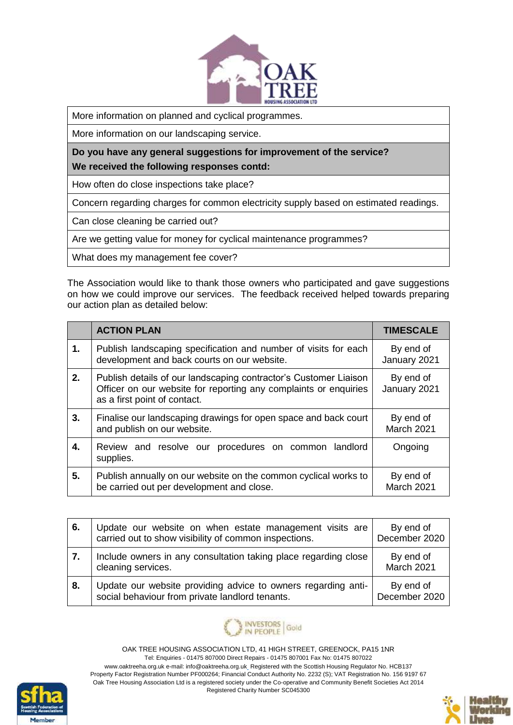

More information on planned and cyclical programmes.

More information on our landscaping service.

**Do you have any general suggestions for improvement of the service? We received the following responses contd:**

How often do close inspections take place?

Concern regarding charges for common electricity supply based on estimated readings.

Can close cleaning be carried out?

Are we getting value for money for cyclical maintenance programmes?

What does my management fee cover?

The Association would like to thank those owners who participated and gave suggestions on how we could improve our services. The feedback received helped towards preparing our action plan as detailed below:

|    | <b>ACTION PLAN</b>                                                                                                                                                   | <b>TIMESCALE</b>          |
|----|----------------------------------------------------------------------------------------------------------------------------------------------------------------------|---------------------------|
| 1. | Publish landscaping specification and number of visits for each<br>development and back courts on our website.                                                       | By end of<br>January 2021 |
| 2. | Publish details of our landscaping contractor's Customer Liaison<br>Officer on our website for reporting any complaints or enquiries<br>as a first point of contact. | By end of<br>January 2021 |
| 3. | Finalise our landscaping drawings for open space and back court<br>and publish on our website.                                                                       | By end of<br>March 2021   |
| 4. | Review and resolve our procedures on common landlord<br>supplies.                                                                                                    | Ongoing                   |
| 5. | Publish annually on our website on the common cyclical works to<br>be carried out per development and close.                                                         | By end of<br>March 2021   |

| 6. | Update our website on when estate management visits are<br>carried out to show visibility of common inspections. | By end of<br>December 2020 |
|----|------------------------------------------------------------------------------------------------------------------|----------------------------|
| 7. | Include owners in any consultation taking place regarding close<br>cleaning services.                            | By end of<br>March 2021    |
| 8. | Update our website providing advice to owners regarding anti-<br>social behaviour from private landlord tenants. | By end of<br>December 2020 |